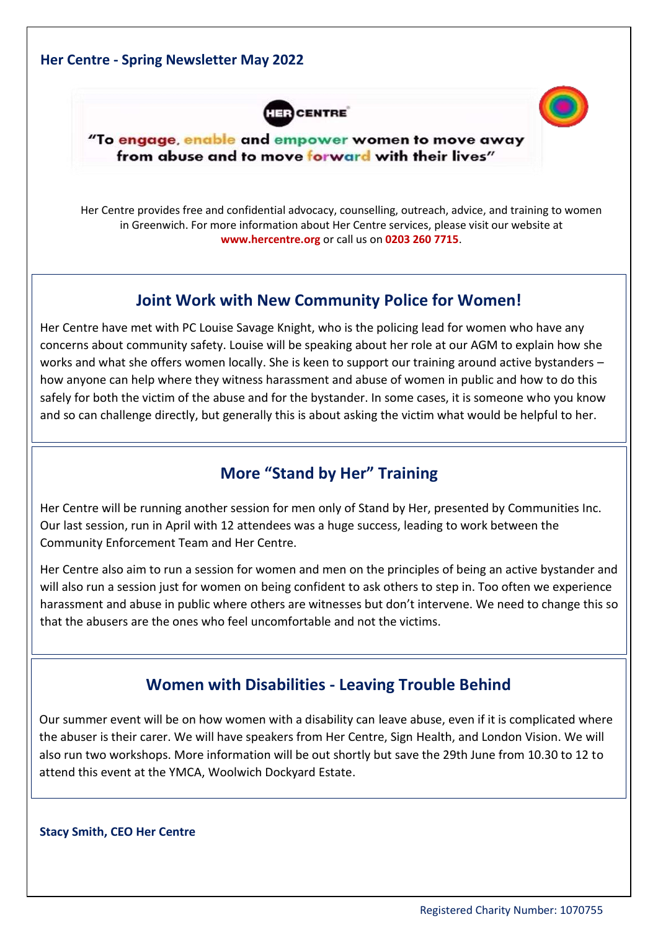#### **Her Centre - Spring Newsletter May 2022**





"To engage, enable and empower women to move away from abuse and to move forward with their lives"

Her Centre provides free and confidential advocacy, counselling, outreach, advice, and training to women in Greenwich. For more information about Her Centre services, please visit our website at **[www.hercentre.org](http://hercentre.org/)** or call us on **0203 260 7715**.

### **Joint Work with New Community Police for Women!**

Her Centre have met with PC Louise Savage Knight, who is the policing lead for women who have any concerns about community safety. Louise will be speaking about her role at our AGM to explain how she works and what she offers women locally. She is keen to support our training around active bystanders – how anyone can help where they witness harassment and abuse of women in public and how to do this safely for both the victim of the abuse and for the bystander. In some cases, it is someone who you know and so can challenge directly, but generally this is about asking the victim what would be helpful to her.

# **More "Stand by Her" Training**

Her Centre will be running another session for men only of Stand by Her, presented by Communities Inc. Our last session, run in April with 12 attendees was a huge success, leading to work between the Community Enforcement Team and Her Centre.

Her Centre also aim to run a session for women and men on the principles of being an active bystander and will also run a session just for women on being confident to ask others to step in. Too often we experience harassment and abuse in public where others are witnesses but don't intervene. We need to change this so that the abusers are the ones who feel uncomfortable and not the victims.

# **Women with Disabilities - Leaving Trouble Behind**

Our summer event will be on how women with a disability can leave abuse, even if it is complicated where the abuser is their carer. We will have speakers from Her Centre, Sign Health, and London Vision. We will also run two workshops. More information will be out shortly but save the 29th June from 10.30 to 12 to attend this event at the YMCA, Woolwich Dockyard Estate.

**Stacy Smith, CEO Her Centre**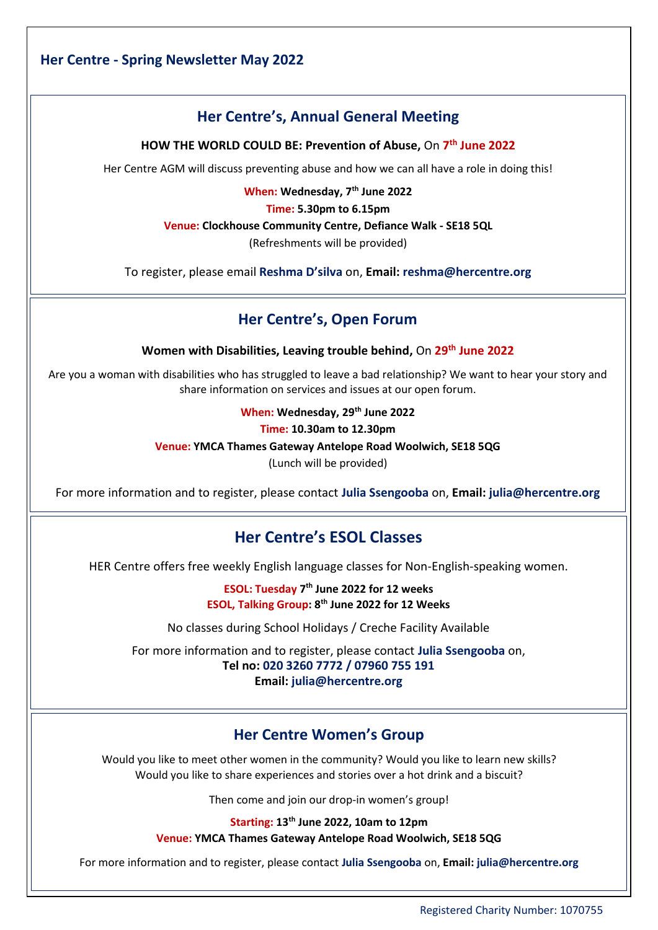### **Her Centre's, Annual General Meeting**

**HOW THE WORLD COULD BE: Prevention of Abuse,** On **7 th June 2022**

Her Centre AGM will discuss preventing abuse and how we can all have a role in doing this!

**When: Wednesday, 7 th June 2022** 

**Time: 5.30pm to 6.15pm**

**Venue: Clockhouse Community Centre, Defiance Walk - SE18 5QL**

(Refreshments will be provided)

To register, please email **Reshma D'silva** on, **Email: reshma@hercentre.org**

## **Her Centre's, Open Forum**

**Women with Disabilities, Leaving trouble behind,** On **29th June 2022**

Are you a woman with disabilities who has struggled to leave a bad relationship? We want to hear your story and share information on services and issues at our open forum.

> **When: Wednesday, 29th June 2022 Time: 10.30am to 12.30pm Venue: YMCA Thames Gateway Antelope Road Woolwich, SE18 5QG** (Lunch will be provided)

For more information and to register, please contact **Julia Ssengooba** on, **Email: julia@hercentre.org**

# **Her Centre's ESOL Classes**

HER Centre offers free weekly English language classes for Non-English-speaking women.

**ESOL: Tuesday 7 th June 2022 for 12 weeks ESOL, Talking Group: 8th June 2022 for 12 Weeks**

No classes during School Holidays / Creche Facility Available

For more information and to register, please contact **Julia Ssengooba** on, **Tel no: 020 3260 7772 / 07960 755 191 Email: julia@hercentre.org**

#### **Her Centre Women's Group**

Would you like to meet other women in the community? Would you like to learn new skills? Would you like to share experiences and stories over a hot drink and a biscuit?

Then come and join our drop-in women's group!

**Starting: 13th June 2022, 10am to 12pm**

**Venue: YMCA Thames Gateway Antelope Road Woolwich, SE18 5QG**

For more information and to register, please contact **Julia Ssengooba** on, **Email: julia@hercentre.org**